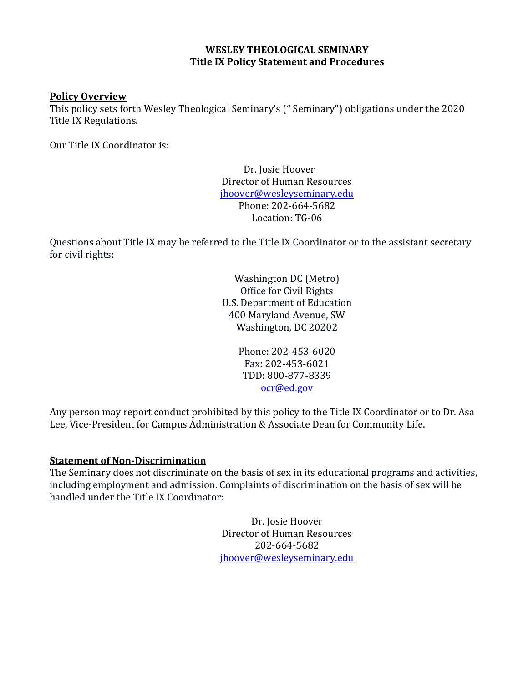#### **WESLEY THEOLOGICAL SEMINARY Title IX Policy Statement and Procedures**

#### **Policy Overview**

This policy sets forth Wesley Theological Seminary's (" Seminary") obligations under the 2020 Title IX Regulations.

Our Title IX Coordinator is:

Dr. Josie Hoover Director of Human Resources [jhoover@wesleyseminary.edu](mailto:jhoover@wesleyseminary.edu) Phone: 202-664-5682 Location: TG-06

Questions about Title IX may be referred to the Title IX Coordinator or to the assistant secretary for civil rights:

> Washington DC (Metro) Office for Civil Rights U.S. Department of Education 400 Maryland Avenue, SW Washington, DC 20202

> > Phone: 202-453-6020 Fax: 202-453-6021 TDD: 800-877-8339 [ocr@ed.gov](mailto:ocr@ed.gov)

Any person may report conduct prohibited by this policy to the Title IX Coordinator or to Dr. Asa Lee, Vice-President for Campus Administration & Associate Dean for Community Life.

#### **Statement of Non-Discrimination**

The Seminary does not discriminate on the basis of sex in its educational programs and activities, including employment and admission. Complaints of discrimination on the basis of sex will be handled under the Title IX Coordinator:

> Dr. Josie Hoover Director of Human Resources 202-664-5682 [jhoover@wesleyseminary.edu](mailto:jhoover@wesleyseminary.edu)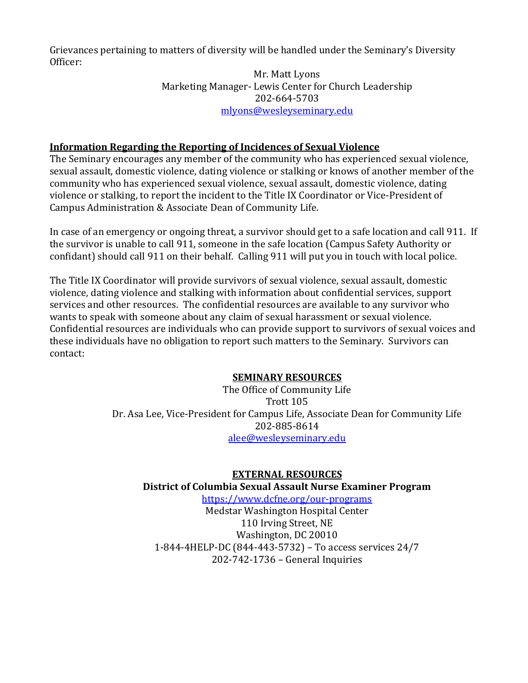Grievances pertaining to matters of diversity will be handled under the Seminary's Diversity Officer:

#### Mr. Matt Lyons Marketing Manager- Lewis Center for Church Leadership 202-664-5703 [mlyons@wesleyseminary.edu](mailto:mlyons@wesleyseminary.edu)

### **Information Regarding the Reporting of Incidences of Sexual Violence**

The Seminary encourages any member of the community who has experienced sexual violence, sexual assault, domestic violence, dating violence or stalking or knows of another member of the community who has experienced sexual violence, sexual assault, domestic violence, dating violence or stalking, to report the incident to the Title IX Coordinator or Vice-President of Campus Administration & Associate Dean of Community Life.

In case of an emergency or ongoing threat, a survivor should get to a safe location and call 911. If the survivor is unable to call 911, someone in the safe location (Campus Safety Authority or confidant) should call 911 on their behalf. Calling 911 will put you in touch with local police.

The Title IX Coordinator will provide survivors of sexual violence, sexual assault, domestic violence, dating violence and stalking with information about confidential services, support services and other resources. The confidential resources are available to any survivor who wants to speak with someone about any claim of sexual harassment or sexual violence. Confidential resources are individuals who can provide support to survivors of sexual voices and these individuals have no obligation to report such matters to the Seminary. Survivors can contact:

#### **SEMINARY RESOURCES**

The Office of Community Life Trott 105 Dr. Asa Lee, Vice-President for Campus Life, Associate Dean for Community Life 202-885-8614 [alee@wesleyseminary.edu](mailto:alee@wesleyseminary.edu)

# **EXTERNAL RESOURCES District of Columbia Sexual Assault Nurse Examiner Program**

<https://www.dcfne.org/our-programs> Medstar Washington Hospital Center 110 Irving Street, NE Washington, DC 20010 1-844-4HELP-DC (844-443-5732) – To access services 24/7 202-742-1736 – General Inquiries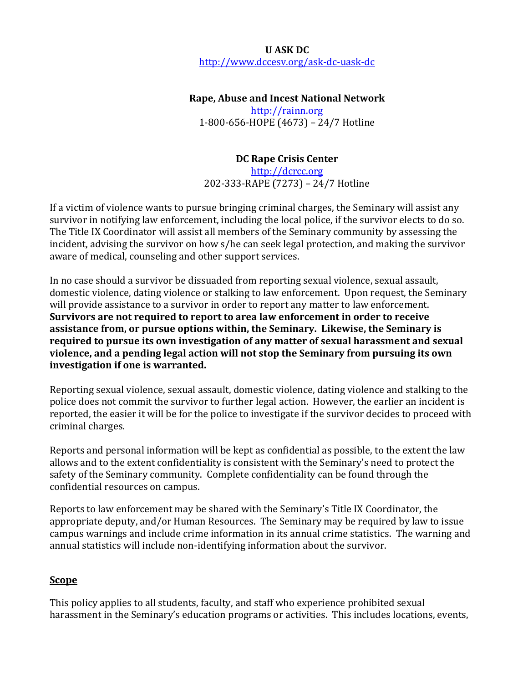# **U ASK DC** <http://www.dccesv.org/ask-dc-uask-dc>

### **Rape, Abuse and Incest National Network**

[http://rainn.org](http://rainn.org/) 1-800-656-HOPE (4673) – 24/7 Hotline

### **DC Rape Crisis Center**

[http://dcrcc.org](http://dcrcc.org/) 202-333-RAPE (7273) – 24/7 Hotline

If a victim of violence wants to pursue bringing criminal charges, the Seminary will assist any survivor in notifying law enforcement, including the local police, if the survivor elects to do so. The Title IX Coordinator will assist all members of the Seminary community by assessing the incident, advising the survivor on how s/he can seek legal protection, and making the survivor aware of medical, counseling and other support services.

In no case should a survivor be dissuaded from reporting sexual violence, sexual assault, domestic violence, dating violence or stalking to law enforcement. Upon request, the Seminary will provide assistance to a survivor in order to report any matter to law enforcement. **Survivors are not required to report to area law enforcement in order to receive assistance from, or pursue options within, the Seminary. Likewise, the Seminary is required to pursue its own investigation of any matter of sexual harassment and sexual violence, and a pending legal action will not stop the Seminary from pursuing its own investigation if one is warranted.** 

Reporting sexual violence, sexual assault, domestic violence, dating violence and stalking to the police does not commit the survivor to further legal action. However, the earlier an incident is reported, the easier it will be for the police to investigate if the survivor decides to proceed with criminal charges.

Reports and personal information will be kept as confidential as possible, to the extent the law allows and to the extent confidentiality is consistent with the Seminary's need to protect the safety of the Seminary community. Complete confidentiality can be found through the confidential resources on campus.

Reports to law enforcement may be shared with the Seminary's Title IX Coordinator, the appropriate deputy, and/or Human Resources. The Seminary may be required by law to issue campus warnings and include crime information in its annual crime statistics. The warning and annual statistics will include non-identifying information about the survivor.

#### **Scope**

This policy applies to all students, faculty, and staff who experience prohibited sexual harassment in the Seminary's education programs or activities. This includes locations, events,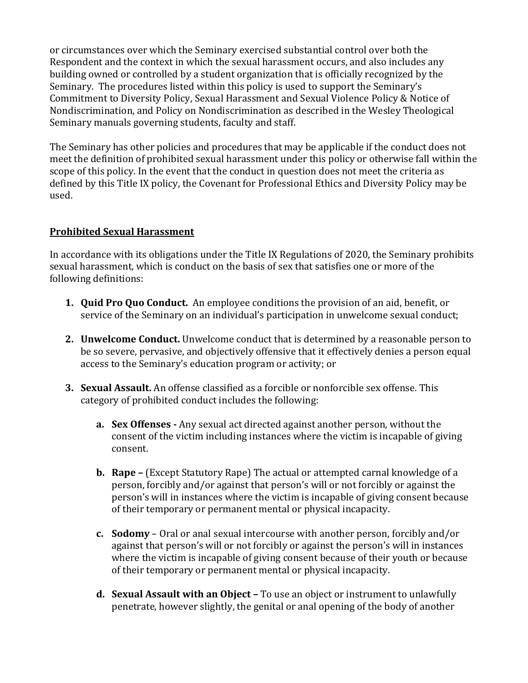or circumstances over which the Seminary exercised substantial control over both the Respondent and the context in which the sexual harassment occurs, and also includes any building owned or controlled by a student organization that is officially recognized by the Seminary. The procedures listed within this policy is used to support the Seminary's Commitment to Diversity Policy, Sexual Harassment and Sexual Violence Policy & Notice of Nondiscrimination, and Policy on Nondiscrimination as described in the Wesley Theological Seminary manuals governing students, faculty and staff.

The Seminary has other policies and procedures that may be applicable if the conduct does not meet the definition of prohibited sexual harassment under this policy or otherwise fall within the scope of this policy. In the event that the conduct in question does not meet the criteria as defined by this Title IX policy, the Covenant for Professional Ethics and Diversity Policy may be used.

### **Prohibited Sexual Harassment**

In accordance with its obligations under the Title IX Regulations of 2020, the Seminary prohibits sexual harassment, which is conduct on the basis of sex that satisfies one or more of the following definitions:

- **1. Quid Pro Quo Conduct.** An employee conditions the provision of an aid, benefit, or service of the Seminary on an individual's participation in unwelcome sexual conduct;
- **2. Unwelcome Conduct.** Unwelcome conduct that is determined by a reasonable person to be so severe, pervasive, and objectively offensive that it effectively denies a person equal access to the Seminary's education program or activity; or
- **3. Sexual Assault.** An offense classified as a forcible or nonforcible sex offense. This category of prohibited conduct includes the following:
	- **a. Sex Offenses -** Any sexual act directed against another person, without the consent of the victim including instances where the victim is incapable of giving consent.
	- **b. Rape –** (Except Statutory Rape) The actual or attempted carnal knowledge of a person, forcibly and/or against that person's will or not forcibly or against the person's will in instances where the victim is incapable of giving consent because of their temporary or permanent mental or physical incapacity.
	- **c. Sodomy**  Oral or anal sexual intercourse with another person, forcibly and/or against that person's will or not forcibly or against the person's will in instances where the victim is incapable of giving consent because of their youth or because of their temporary or permanent mental or physical incapacity.
	- **d. Sexual Assault with an Object –** To use an object or instrument to unlawfully penetrate, however slightly, the genital or anal opening of the body of another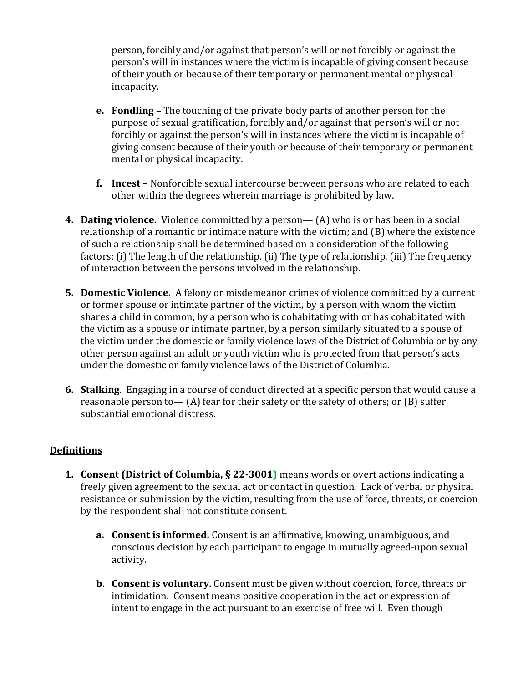person, forcibly and/or against that person's will or not forcibly or against the person's will in instances where the victim is incapable of giving consent because of their youth or because of their temporary or permanent mental or physical incapacity.

- **e. Fondling –** The touching of the private body parts of another person for the purpose of sexual gratification, forcibly and/or against that person's will or not forcibly or against the person's will in instances where the victim is incapable of giving consent because of their youth or because of their temporary or permanent mental or physical incapacity.
- **f. Incest –** Nonforcible sexual intercourse between persons who are related to each other within the degrees wherein marriage is prohibited by law.
- **4. Dating violence.** Violence committed by a person— (A) who is or has been in a social relationship of a romantic or intimate nature with the victim; and (B) where the existence of such a relationship shall be determined based on a consideration of the following factors: (i) The length of the relationship. (ii) The type of relationship. (iii) The frequency of interaction between the persons involved in the relationship.
- **5. Domestic Violence.** A felony or misdemeanor crimes of violence committed by a current or former spouse or intimate partner of the victim, by a person with whom the victim shares a child in common, by a person who is cohabitating with or has cohabitated with the victim as a spouse or intimate partner, by a person similarly situated to a spouse of the victim under the domestic or family violence laws of the District of Columbia or by any other person against an adult or youth victim who is protected from that person's acts under the domestic or family violence laws of the District of Columbia.
- **6. Stalking**. Engaging in a course of conduct directed at a specific person that would cause a reasonable person to— (A) fear for their safety or the safety of others; or (B) suffer substantial emotional distress.

# **Definitions**

- **1. Consent (District of Columbia, § 22-3001)** means words or overt actions indicating a freely given agreement to the sexual act or contact in question. Lack of verbal or physical resistance or submission by the victim, resulting from the use of force, threats, or coercion by the respondent shall not constitute consent.
	- **a. Consent is informed.** Consent is an affirmative, knowing, unambiguous, and conscious decision by each participant to engage in mutually agreed-upon sexual activity.
	- **b. Consent is voluntary.** Consent must be given without coercion, force, threats or intimidation. Consent means positive cooperation in the act or expression of intent to engage in the act pursuant to an exercise of free will. Even though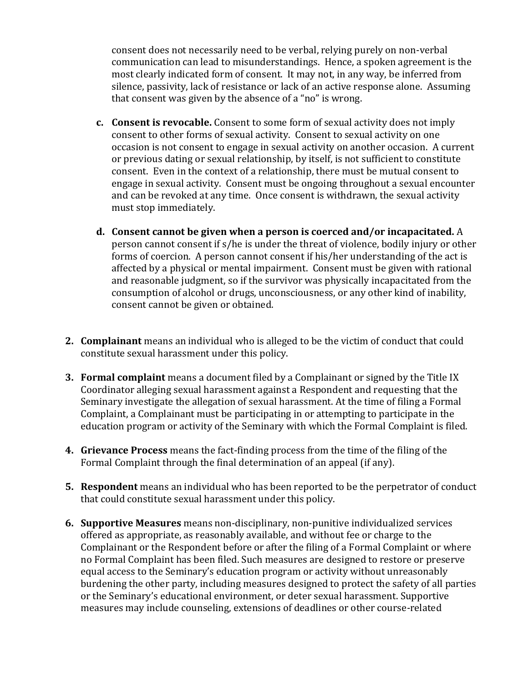consent does not necessarily need to be verbal, relying purely on non-verbal communication can lead to misunderstandings. Hence, a spoken agreement is the most clearly indicated form of consent. It may not, in any way, be inferred from silence, passivity, lack of resistance or lack of an active response alone. Assuming that consent was given by the absence of a "no" is wrong.

- **c. Consent is revocable.** Consent to some form of sexual activity does not imply consent to other forms of sexual activity. Consent to sexual activity on one occasion is not consent to engage in sexual activity on another occasion. A current or previous dating or sexual relationship, by itself, is not sufficient to constitute consent. Even in the context of a relationship, there must be mutual consent to engage in sexual activity. Consent must be ongoing throughout a sexual encounter and can be revoked at any time. Once consent is withdrawn, the sexual activity must stop immediately.
- **d. Consent cannot be given when a person is coerced and/or incapacitated.** A person cannot consent if s/he is under the threat of violence, bodily injury or other forms of coercion. A person cannot consent if his/her understanding of the act is affected by a physical or mental impairment. Consent must be given with rational and reasonable judgment, so if the survivor was physically incapacitated from the consumption of alcohol or drugs, unconsciousness, or any other kind of inability, consent cannot be given or obtained.
- **2. Complainant** means an individual who is alleged to be the victim of conduct that could constitute sexual harassment under this policy.
- **3. Formal complaint** means a document filed by a Complainant or signed by the Title IX Coordinator alleging sexual harassment against a Respondent and requesting that the Seminary investigate the allegation of sexual harassment. At the time of filing a Formal Complaint, a Complainant must be participating in or attempting to participate in the education program or activity of the Seminary with which the Formal Complaint is filed.
- **4. Grievance Process** means the fact-finding process from the time of the filing of the Formal Complaint through the final determination of an appeal (if any).
- **5. Respondent** means an individual who has been reported to be the perpetrator of conduct that could constitute sexual harassment under this policy.
- **6. Supportive Measures** means non-disciplinary, non-punitive individualized services offered as appropriate, as reasonably available, and without fee or charge to the Complainant or the Respondent before or after the filing of a Formal Complaint or where no Formal Complaint has been filed. Such measures are designed to restore or preserve equal access to the Seminary's education program or activity without unreasonably burdening the other party, including measures designed to protect the safety of all parties or the Seminary's educational environment, or deter sexual harassment. Supportive measures may include counseling, extensions of deadlines or other course-related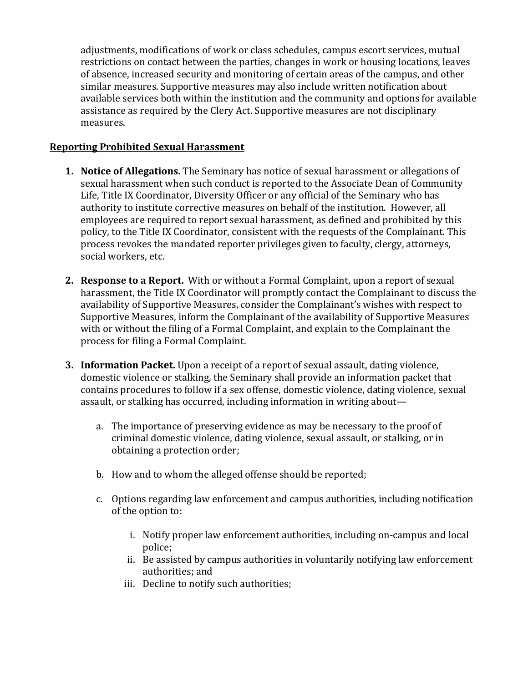adjustments, modifications of work or class schedules, campus escort services, mutual restrictions on contact between the parties, changes in work or housing locations, leaves of absence, increased security and monitoring of certain areas of the campus, and other similar measures. Supportive measures may also include written notification about available services both within the institution and the community and options for available assistance as required by the Clery Act. Supportive measures are not disciplinary measures.

### **Reporting Prohibited Sexual Harassment**

- **1. Notice of Allegations.** The Seminary has notice of sexual harassment or allegations of sexual harassment when such conduct is reported to the Associate Dean of Community Life, Title IX Coordinator, Diversity Officer or any official of the Seminary who has authority to institute corrective measures on behalf of the institution. However, all employees are required to report sexual harassment, as defined and prohibited by this policy, to the Title IX Coordinator, consistent with the requests of the Complainant. This process revokes the mandated reporter privileges given to faculty, clergy, attorneys, social workers, etc.
- **2. Response to a Report.** With or without a Formal Complaint, upon a report of sexual harassment, the Title IX Coordinator will promptly contact the Complainant to discuss the availability of Supportive Measures, consider the Complainant's wishes with respect to Supportive Measures, inform the Complainant of the availability of Supportive Measures with or without the filing of a Formal Complaint, and explain to the Complainant the process for filing a Formal Complaint.
- **3. Information Packet.** Upon a receipt of a report of sexual assault, dating violence, domestic violence or stalking, the Seminary shall provide an information packet that contains procedures to follow if a sex offense, domestic violence, dating violence, sexual assault, or stalking has occurred, including information in writing about
	- a. The importance of preserving evidence as may be necessary to the proof of criminal domestic violence, dating violence, sexual assault, or stalking, or in obtaining a protection order;
	- b. How and to whom the alleged offense should be reported;
	- c. Options regarding law enforcement and campus authorities, including notification of the option to:
		- i. Notify proper law enforcement authorities, including on-campus and local police;
		- ii. Be assisted by campus authorities in voluntarily notifying law enforcement authorities; and
		- iii. Decline to notify such authorities;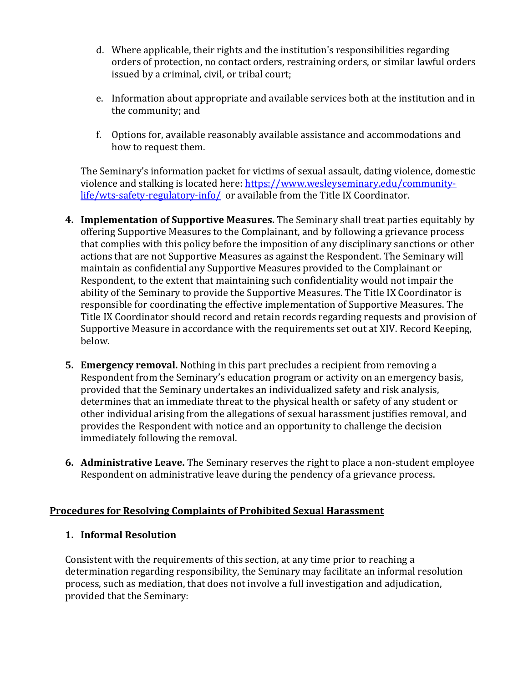- d. Where applicable, their rights and the institution's responsibilities regarding orders of protection, no contact orders, restraining orders, or similar lawful orders issued by a criminal, civil, or tribal court;
- e. Information about appropriate and available services both at the institution and in the community; and
- f. Options for, available reasonably available assistance and accommodations and how to request them.

The Seminary's information packet for victims of sexual assault, dating violence, domestic violence and stalking is located here: [https://www.wesleyseminary.edu/community](https://www.wesleyseminary.edu/community-life/wts-safety-regulatory-info/)[life/wts-safety-regulatory-info/](https://www.wesleyseminary.edu/community-life/wts-safety-regulatory-info/) or available from the Title IX Coordinator.

- **4. Implementation of Supportive Measures.** The Seminary shall treat parties equitably by offering Supportive Measures to the Complainant, and by following a grievance process that complies with this policy before the imposition of any disciplinary sanctions or other actions that are not Supportive Measures as against the Respondent. The Seminary will maintain as confidential any Supportive Measures provided to the Complainant or Respondent, to the extent that maintaining such confidentiality would not impair the ability of the Seminary to provide the Supportive Measures. The Title IX Coordinator is responsible for coordinating the effective implementation of Supportive Measures. The Title IX Coordinator should record and retain records regarding requests and provision of Supportive Measure in accordance with the requirements set out at XIV. Record Keeping, below.
- **5. Emergency removal.** Nothing in this part precludes a recipient from removing a Respondent from the Seminary's education program or activity on an emergency basis, provided that the Seminary undertakes an individualized safety and risk analysis, determines that an immediate threat to the physical health or safety of any student or other individual arising from the allegations of sexual harassment justifies removal, and provides the Respondent with notice and an opportunity to challenge the decision immediately following the removal.
- **6. Administrative Leave.** The Seminary reserves the right to place a non-student employee Respondent on administrative leave during the pendency of a grievance process.

#### **Procedures for Resolving Complaints of Prohibited Sexual Harassment**

#### **1. Informal Resolution**

Consistent with the requirements of this section, at any time prior to reaching a determination regarding responsibility, the Seminary may facilitate an informal resolution process, such as mediation, that does not involve a full investigation and adjudication, provided that the Seminary: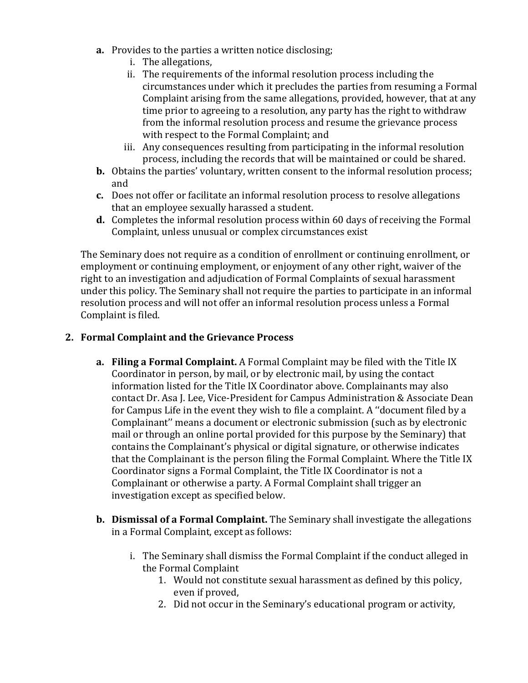- **a.** Provides to the parties a written notice disclosing;
	- i. The allegations,
	- ii. The requirements of the informal resolution process including the circumstances under which it precludes the parties from resuming a Formal Complaint arising from the same allegations, provided, however, that at any time prior to agreeing to a resolution, any party has the right to withdraw from the informal resolution process and resume the grievance process with respect to the Formal Complaint; and
	- iii. Any consequences resulting from participating in the informal resolution process, including the records that will be maintained or could be shared.
- **b.** Obtains the parties' voluntary, written consent to the informal resolution process; and
- **c.** Does not offer or facilitate an informal resolution process to resolve allegations that an employee sexually harassed a student.
- **d.** Completes the informal resolution process within 60 days of receiving the Formal Complaint, unless unusual or complex circumstances exist

The Seminary does not require as a condition of enrollment or continuing enrollment, or employment or continuing employment, or enjoyment of any other right, waiver of the right to an investigation and adjudication of Formal Complaints of sexual harassment under this policy. The Seminary shall not require the parties to participate in an informal resolution process and will not offer an informal resolution process unless a Formal Complaint is filed.

### **2. Formal Complaint and the Grievance Process**

- **a. Filing a Formal Complaint.** A Formal Complaint may be filed with the Title IX Coordinator in person, by mail, or by electronic mail, by using the contact information listed for the Title IX Coordinator above. Complainants may also contact Dr. Asa J. Lee, Vice-President for Campus Administration & Associate Dean for Campus Life in the event they wish to file a complaint. A ''document filed by a Complainant'' means a document or electronic submission (such as by electronic mail or through an online portal provided for this purpose by the Seminary) that contains the Complainant's physical or digital signature, or otherwise indicates that the Complainant is the person filing the Formal Complaint. Where the Title IX Coordinator signs a Formal Complaint, the Title IX Coordinator is not a Complainant or otherwise a party. A Formal Complaint shall trigger an investigation except as specified below.
- **b. Dismissal of a Formal Complaint.** The Seminary shall investigate the allegations in a Formal Complaint, except as follows:
	- i. The Seminary shall dismiss the Formal Complaint if the conduct alleged in the Formal Complaint
		- 1. Would not constitute sexual harassment as defined by this policy, even if proved,
		- 2. Did not occur in the Seminary's educational program or activity,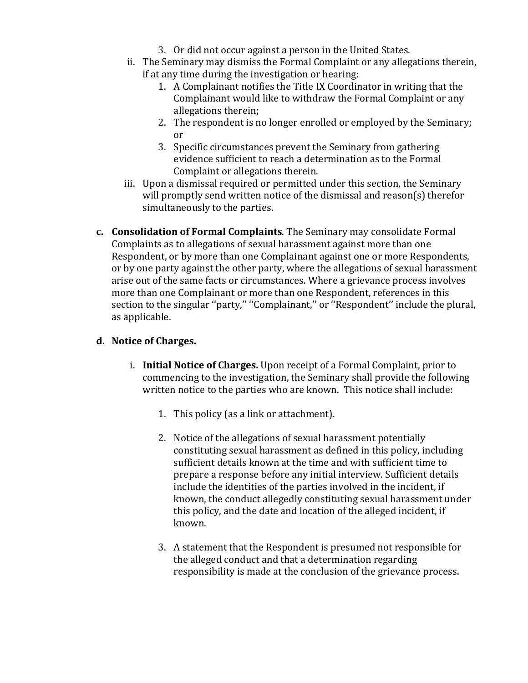- 3. Or did not occur against a person in the United States.
- ii. The Seminary may dismiss the Formal Complaint or any allegations therein, if at any time during the investigation or hearing:
	- 1. A Complainant notifies the Title IX Coordinator in writing that the Complainant would like to withdraw the Formal Complaint or any allegations therein;
	- 2. The respondent is no longer enrolled or employed by the Seminary; or
	- 3. Specific circumstances prevent the Seminary from gathering evidence sufficient to reach a determination as to the Formal Complaint or allegations therein.
- iii. Upon a dismissal required or permitted under this section, the Seminary will promptly send written notice of the dismissal and reason(s) therefor simultaneously to the parties.
- **c. Consolidation of Formal Complaints**. The Seminary may consolidate Formal Complaints as to allegations of sexual harassment against more than one Respondent, or by more than one Complainant against one or more Respondents, or by one party against the other party, where the allegations of sexual harassment arise out of the same facts or circumstances. Where a grievance process involves more than one Complainant or more than one Respondent, references in this section to the singular ''party,'' ''Complainant,'' or ''Respondent'' include the plural, as applicable.

# **d. Notice of Charges.**

- i. **Initial Notice of Charges.** Upon receipt of a Formal Complaint, prior to commencing to the investigation, the Seminary shall provide the following written notice to the parties who are known. This notice shall include:
	- 1. This policy (as a link or attachment).
	- 2. Notice of the allegations of sexual harassment potentially constituting sexual harassment as defined in this policy, including sufficient details known at the time and with sufficient time to prepare a response before any initial interview. Sufficient details include the identities of the parties involved in the incident, if known, the conduct allegedly constituting sexual harassment under this policy, and the date and location of the alleged incident, if known.
	- 3. A statement that the Respondent is presumed not responsible for the alleged conduct and that a determination regarding responsibility is made at the conclusion of the grievance process.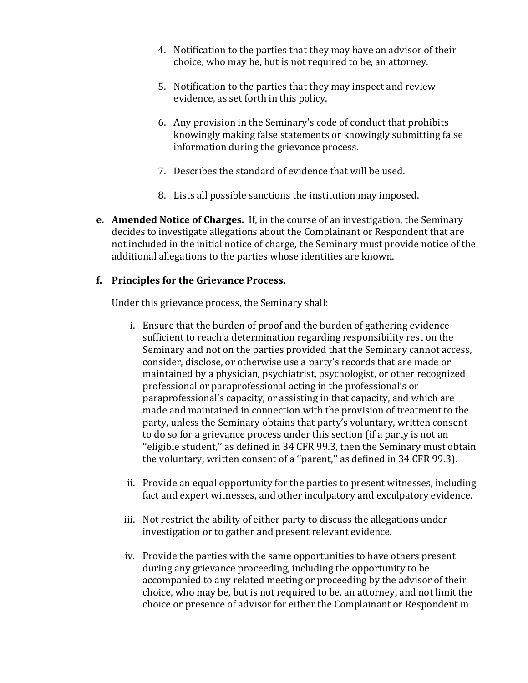- 4. Notification to the parties that they may have an advisor of their choice, who may be, but is not required to be, an attorney.
- 5. Notification to the parties that they may inspect and review evidence, as set forth in this policy.
- 6. Any provision in the Seminary's code of conduct that prohibits knowingly making false statements or knowingly submitting false information during the grievance process.
- 7. Describes the standard of evidence that will be used.
- 8. Lists all possible sanctions the institution may imposed.
- **e. Amended Notice of Charges.** If, in the course of an investigation, the Seminary decides to investigate allegations about the Complainant or Respondent that are not included in the initial notice of charge, the Seminary must provide notice of the additional allegations to the parties whose identities are known.

# **f. Principles for the Grievance Process.**

Under this grievance process, the Seminary shall:

- i. Ensure that the burden of proof and the burden of gathering evidence sufficient to reach a determination regarding responsibility rest on the Seminary and not on the parties provided that the Seminary cannot access, consider, disclose, or otherwise use a party's records that are made or maintained by a physician, psychiatrist, psychologist, or other recognized professional or paraprofessional acting in the professional's or paraprofessional's capacity, or assisting in that capacity, and which are made and maintained in connection with the provision of treatment to the party, unless the Seminary obtains that party's voluntary, written consent to do so for a grievance process under this section (if a party is not an ''eligible student,'' as defined in 34 CFR 99.3, then the Seminary must obtain the voluntary, written consent of a ''parent,'' as defined in 34 CFR 99.3).
- ii. Provide an equal opportunity for the parties to present witnesses, including fact and expert witnesses, and other inculpatory and exculpatory evidence.
- iii. Not restrict the ability of either party to discuss the allegations under investigation or to gather and present relevant evidence.
- iv. Provide the parties with the same opportunities to have others present during any grievance proceeding, including the opportunity to be accompanied to any related meeting or proceeding by the advisor of their choice, who may be, but is not required to be, an attorney, and not limit the choice or presence of advisor for either the Complainant or Respondent in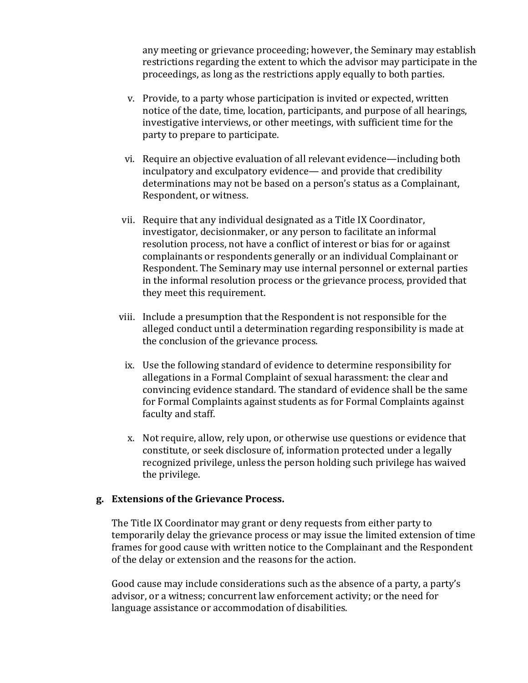any meeting or grievance proceeding; however, the Seminary may establish restrictions regarding the extent to which the advisor may participate in the proceedings, as long as the restrictions apply equally to both parties.

- v. Provide, to a party whose participation is invited or expected, written notice of the date, time, location, participants, and purpose of all hearings, investigative interviews, or other meetings, with sufficient time for the party to prepare to participate.
- vi. Require an objective evaluation of all relevant evidence—including both inculpatory and exculpatory evidence— and provide that credibility determinations may not be based on a person's status as a Complainant, Respondent, or witness.
- vii. Require that any individual designated as a Title IX Coordinator, investigator, decisionmaker, or any person to facilitate an informal resolution process, not have a conflict of interest or bias for or against complainants or respondents generally or an individual Complainant or Respondent. The Seminary may use internal personnel or external parties in the informal resolution process or the grievance process, provided that they meet this requirement.
- viii. Include a presumption that the Respondent is not responsible for the alleged conduct until a determination regarding responsibility is made at the conclusion of the grievance process.
	- ix. Use the following standard of evidence to determine responsibility for allegations in a Formal Complaint of sexual harassment: the clear and convincing evidence standard*.* The standard of evidence shall be the same for Formal Complaints against students as for Formal Complaints against faculty and staff.
	- x. Not require, allow, rely upon, or otherwise use questions or evidence that constitute, or seek disclosure of, information protected under a legally recognized privilege, unless the person holding such privilege has waived the privilege.

#### **g. Extensions of the Grievance Process.**

The Title IX Coordinator may grant or deny requests from either party to temporarily delay the grievance process or may issue the limited extension of time frames for good cause with written notice to the Complainant and the Respondent of the delay or extension and the reasons for the action.

Good cause may include considerations such as the absence of a party, a party's advisor, or a witness; concurrent law enforcement activity; or the need for language assistance or accommodation of disabilities.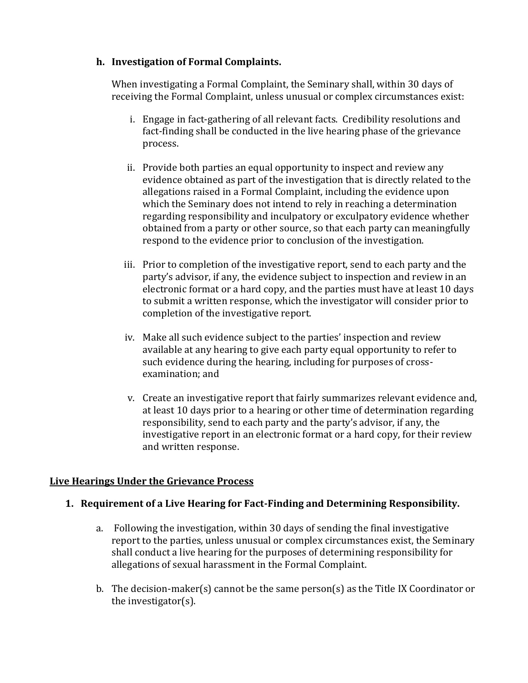### **h. Investigation of Formal Complaints.**

When investigating a Formal Complaint, the Seminary shall, within 30 days of receiving the Formal Complaint, unless unusual or complex circumstances exist:

- i. Engage in fact-gathering of all relevant facts. Credibility resolutions and fact-finding shall be conducted in the live hearing phase of the grievance process.
- ii. Provide both parties an equal opportunity to inspect and review any evidence obtained as part of the investigation that is directly related to the allegations raised in a Formal Complaint, including the evidence upon which the Seminary does not intend to rely in reaching a determination regarding responsibility and inculpatory or exculpatory evidence whether obtained from a party or other source, so that each party can meaningfully respond to the evidence prior to conclusion of the investigation.
- iii. Prior to completion of the investigative report, send to each party and the party's advisor, if any, the evidence subject to inspection and review in an electronic format or a hard copy, and the parties must have at least 10 days to submit a written response, which the investigator will consider prior to completion of the investigative report.
- iv. Make all such evidence subject to the parties' inspection and review available at any hearing to give each party equal opportunity to refer to such evidence during the hearing, including for purposes of crossexamination; and
- v. Create an investigative report that fairly summarizes relevant evidence and, at least 10 days prior to a hearing or other time of determination regarding responsibility, send to each party and the party's advisor, if any, the investigative report in an electronic format or a hard copy, for their review and written response.

# **Live Hearings Under the Grievance Process**

# **1. Requirement of a Live Hearing for Fact-Finding and Determining Responsibility.**

- a. Following the investigation, within 30 days of sending the final investigative report to the parties, unless unusual or complex circumstances exist, the Seminary shall conduct a live hearing for the purposes of determining responsibility for allegations of sexual harassment in the Formal Complaint.
- b. The decision-maker(s) cannot be the same person(s) as the Title IX Coordinator or the investigator(s).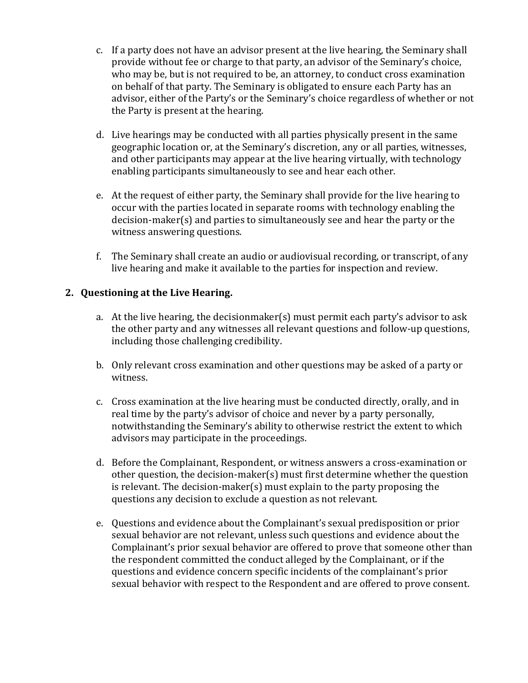- c. If a party does not have an advisor present at the live hearing, the Seminary shall provide without fee or charge to that party, an advisor of the Seminary's choice, who may be, but is not required to be, an attorney, to conduct cross examination on behalf of that party. The Seminary is obligated to ensure each Party has an advisor, either of the Party's or the Seminary's choice regardless of whether or not the Party is present at the hearing.
- d. Live hearings may be conducted with all parties physically present in the same geographic location or, at the Seminary's discretion, any or all parties, witnesses, and other participants may appear at the live hearing virtually, with technology enabling participants simultaneously to see and hear each other.
- e. At the request of either party, the Seminary shall provide for the live hearing to occur with the parties located in separate rooms with technology enabling the decision-maker(s) and parties to simultaneously see and hear the party or the witness answering questions.
- f. The Seminary shall create an audio or audiovisual recording, or transcript, of any live hearing and make it available to the parties for inspection and review.

### **2. Questioning at the Live Hearing.**

- a. At the live hearing, the decisionmaker(s) must permit each party's advisor to ask the other party and any witnesses all relevant questions and follow-up questions, including those challenging credibility.
- b. Only relevant cross examination and other questions may be asked of a party or witness.
- c. Cross examination at the live hearing must be conducted directly, orally, and in real time by the party's advisor of choice and never by a party personally, notwithstanding the Seminary's ability to otherwise restrict the extent to which advisors may participate in the proceedings.
- d. Before the Complainant, Respondent, or witness answers a cross-examination or other question, the decision-maker(s) must first determine whether the question is relevant. The decision-maker(s) must explain to the party proposing the questions any decision to exclude a question as not relevant.
- e. Questions and evidence about the Complainant's sexual predisposition or prior sexual behavior are not relevant, unless such questions and evidence about the Complainant's prior sexual behavior are offered to prove that someone other than the respondent committed the conduct alleged by the Complainant, or if the questions and evidence concern specific incidents of the complainant's prior sexual behavior with respect to the Respondent and are offered to prove consent.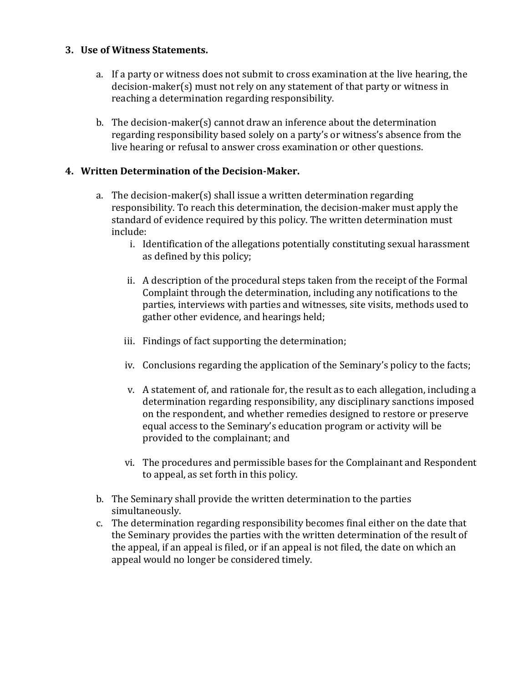### **3. Use of Witness Statements.**

- a. If a party or witness does not submit to cross examination at the live hearing, the decision-maker(s) must not rely on any statement of that party or witness in reaching a determination regarding responsibility.
- b. The decision-maker(s) cannot draw an inference about the determination regarding responsibility based solely on a party's or witness's absence from the live hearing or refusal to answer cross examination or other questions.

### **4. Written Determination of the Decision-Maker.**

- a. The decision-maker(s) shall issue a written determination regarding responsibility. To reach this determination, the decision-maker must apply the standard of evidence required by this policy. The written determination must include:
	- i. Identification of the allegations potentially constituting sexual harassment as defined by this policy;
	- ii. A description of the procedural steps taken from the receipt of the Formal Complaint through the determination, including any notifications to the parties, interviews with parties and witnesses, site visits, methods used to gather other evidence, and hearings held;
	- iii. Findings of fact supporting the determination;
	- iv. Conclusions regarding the application of the Seminary's policy to the facts;
	- v. A statement of, and rationale for, the result as to each allegation, including a determination regarding responsibility, any disciplinary sanctions imposed on the respondent, and whether remedies designed to restore or preserve equal access to the Seminary's education program or activity will be provided to the complainant; and
	- vi. The procedures and permissible bases for the Complainant and Respondent to appeal, as set forth in this policy.
- b. The Seminary shall provide the written determination to the parties simultaneously.
- c. The determination regarding responsibility becomes final either on the date that the Seminary provides the parties with the written determination of the result of the appeal, if an appeal is filed, or if an appeal is not filed, the date on which an appeal would no longer be considered timely.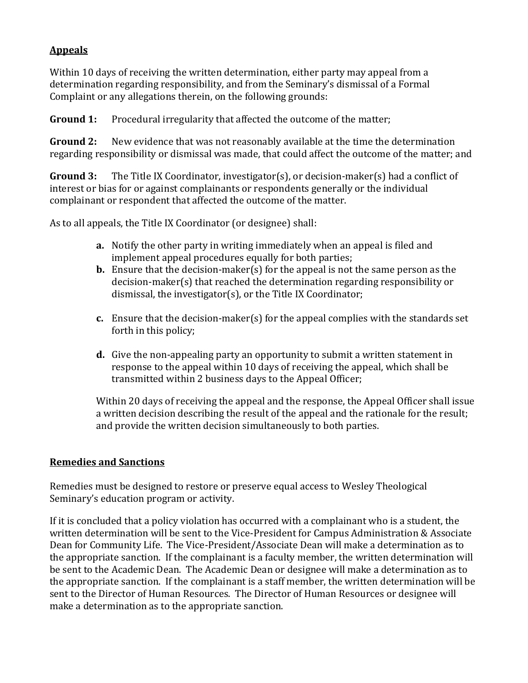### **Appeals**

Within 10 days of receiving the written determination, either party may appeal from a determination regarding responsibility, and from the Seminary's dismissal of a Formal Complaint or any allegations therein, on the following grounds:

**Ground 1:** Procedural irregularity that affected the outcome of the matter;

**Ground 2:** New evidence that was not reasonably available at the time the determination regarding responsibility or dismissal was made, that could affect the outcome of the matter; and

**Ground 3:** The Title IX Coordinator, investigator(s), or decision-maker(s) had a conflict of interest or bias for or against complainants or respondents generally or the individual complainant or respondent that affected the outcome of the matter.

As to all appeals, the Title IX Coordinator (or designee) shall:

- **a.** Notify the other party in writing immediately when an appeal is filed and implement appeal procedures equally for both parties;
- **b.** Ensure that the decision-maker(s) for the appeal is not the same person as the decision-maker(s) that reached the determination regarding responsibility or dismissal, the investigator(s), or the Title IX Coordinator;
- **c.** Ensure that the decision-maker(s) for the appeal complies with the standards set forth in this policy;
- **d.** Give the non-appealing party an opportunity to submit a written statement in response to the appeal within 10 days of receiving the appeal, which shall be transmitted within 2 business days to the Appeal Officer;

Within 20 days of receiving the appeal and the response, the Appeal Officer shall issue a written decision describing the result of the appeal and the rationale for the result; and provide the written decision simultaneously to both parties.

### **Remedies and Sanctions**

Remedies must be designed to restore or preserve equal access to Wesley Theological Seminary's education program or activity.

If it is concluded that a policy violation has occurred with a complainant who is a student, the written determination will be sent to the Vice-President for Campus Administration & Associate Dean for Community Life. The Vice-President/Associate Dean will make a determination as to the appropriate sanction. If the complainant is a faculty member, the written determination will be sent to the Academic Dean. The Academic Dean or designee will make a determination as to the appropriate sanction. If the complainant is a staff member, the written determination will be sent to the Director of Human Resources. The Director of Human Resources or designee will make a determination as to the appropriate sanction.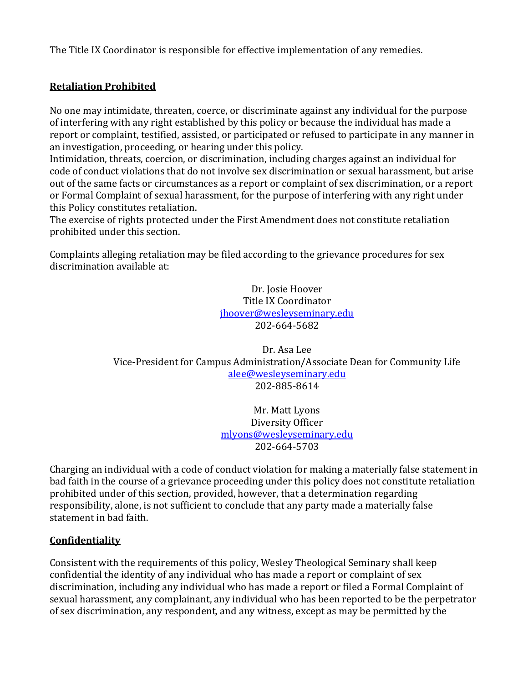The Title IX Coordinator is responsible for effective implementation of any remedies.

### **Retaliation Prohibited**

No one may intimidate, threaten, coerce, or discriminate against any individual for the purpose of interfering with any right established by this policy or because the individual has made a report or complaint, testified, assisted, or participated or refused to participate in any manner in an investigation, proceeding, or hearing under this policy.

Intimidation, threats, coercion, or discrimination, including charges against an individual for code of conduct violations that do not involve sex discrimination or sexual harassment, but arise out of the same facts or circumstances as a report or complaint of sex discrimination, or a report or Formal Complaint of sexual harassment, for the purpose of interfering with any right under this Policy constitutes retaliation.

The exercise of rights protected under the First Amendment does not constitute retaliation prohibited under this section.

Complaints alleging retaliation may be filed according to the grievance procedures for sex discrimination available at:

> Dr. Josie Hoover Title IX Coordinator [jhoover@wesleyseminary.edu](mailto:jhoover@wesleyseminary.edu) 202-664-5682

Dr. Asa Lee Vice-President for Campus Administration/Associate Dean for Community Life [alee@wesleyseminary.edu](mailto:alee@wesleyseminary.edu) 202-885-8614

> Mr. Matt Lyons Diversity Officer [mlyons@wesleyseminary.edu](mailto:mlyons@wesleyseminary.edu) 202-664-5703

Charging an individual with a code of conduct violation for making a materially false statement in bad faith in the course of a grievance proceeding under this policy does not constitute retaliation prohibited under of this section, provided, however, that a determination regarding responsibility, alone, is not sufficient to conclude that any party made a materially false statement in bad faith.

#### **Confidentiality**

Consistent with the requirements of this policy, Wesley Theological Seminary shall keep confidential the identity of any individual who has made a report or complaint of sex discrimination, including any individual who has made a report or filed a Formal Complaint of sexual harassment, any complainant, any individual who has been reported to be the perpetrator of sex discrimination, any respondent, and any witness, except as may be permitted by the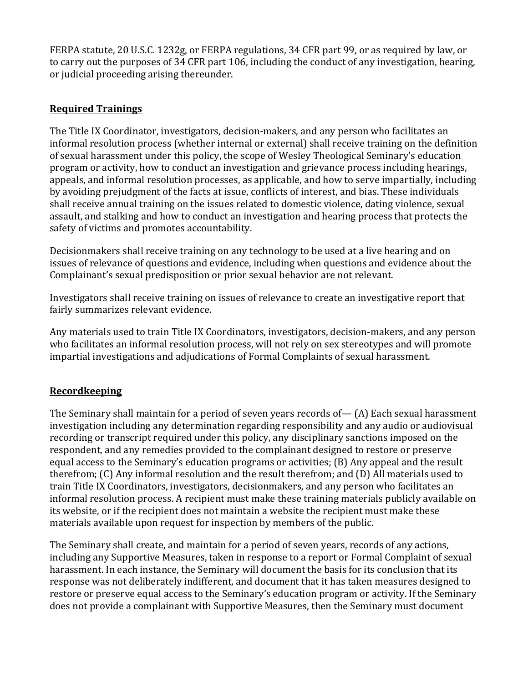FERPA statute, 20 U.S.C. 1232g, or FERPA regulations, 34 CFR part 99, or as required by law, or to carry out the purposes of 34 CFR part 106, including the conduct of any investigation, hearing, or judicial proceeding arising thereunder.

# **Required Trainings**

The Title IX Coordinator, investigators, decision-makers, and any person who facilitates an informal resolution process (whether internal or external) shall receive training on the definition of sexual harassment under this policy, the scope of Wesley Theological Seminary's education program or activity, how to conduct an investigation and grievance process including hearings, appeals, and informal resolution processes, as applicable, and how to serve impartially, including by avoiding prejudgment of the facts at issue, conflicts of interest, and bias. These individuals shall receive annual training on the issues related to domestic violence, dating violence, sexual assault, and stalking and how to conduct an investigation and hearing process that protects the safety of victims and promotes accountability.

Decisionmakers shall receive training on any technology to be used at a live hearing and on issues of relevance of questions and evidence, including when questions and evidence about the Complainant's sexual predisposition or prior sexual behavior are not relevant.

Investigators shall receive training on issues of relevance to create an investigative report that fairly summarizes relevant evidence.

Any materials used to train Title IX Coordinators, investigators, decision-makers, and any person who facilitates an informal resolution process, will not rely on sex stereotypes and will promote impartial investigations and adjudications of Formal Complaints of sexual harassment.

# **Recordkeeping**

The Seminary shall maintain for a period of seven years records of— (A) Each sexual harassment investigation including any determination regarding responsibility and any audio or audiovisual recording or transcript required under this policy, any disciplinary sanctions imposed on the respondent, and any remedies provided to the complainant designed to restore or preserve equal access to the Seminary's education programs or activities; (B) Any appeal and the result therefrom; (C) Any informal resolution and the result therefrom; and (D) All materials used to train Title IX Coordinators, investigators, decisionmakers, and any person who facilitates an informal resolution process. A recipient must make these training materials publicly available on its website, or if the recipient does not maintain a website the recipient must make these materials available upon request for inspection by members of the public.

The Seminary shall create, and maintain for a period of seven years, records of any actions, including any Supportive Measures, taken in response to a report or Formal Complaint of sexual harassment. In each instance, the Seminary will document the basis for its conclusion that its response was not deliberately indifferent, and document that it has taken measures designed to restore or preserve equal access to the Seminary's education program or activity. If the Seminary does not provide a complainant with Supportive Measures, then the Seminary must document